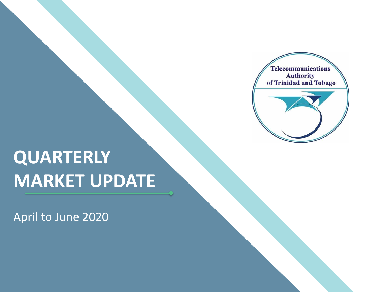

#### **QUARTERLY MARKET UPDATE**

April to June 2020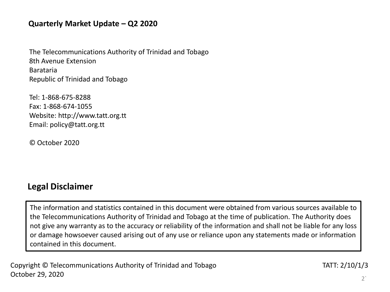#### **Quarterly Market Update – Q2 2020**

The Telecommunications Authority of Trinidad and Tobago 8th Avenue Extension Barataria Republic of Trinidad and Tobago

Tel: 1-868-675-8288 Fax: 1-868-674-1055 Website: http://www.tatt.org.tt Email: policy@tatt.org.tt

© October 2020

#### **Legal Disclaimer**

The information and statistics contained in this document were obtained from various sources available to the Telecommunications Authority of Trinidad and Tobago at the time of publication. The Authority does not give any warranty as to the accuracy or reliability of the information and shall not be liable for any loss or damage howsoever caused arising out of any use or reliance upon any statements made or information contained in this document.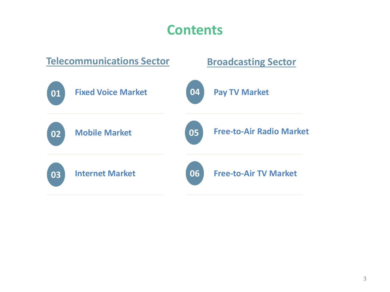#### **Contents**

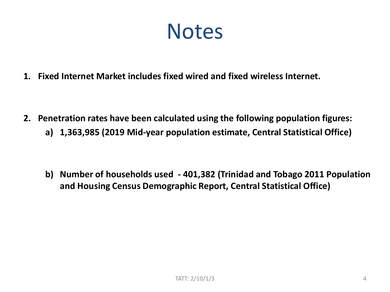#### **Notes**

**1. Fixed Internet Market includes fixed wired and fixed wireless Internet.** 

- **2. Penetration rates have been calculated using the following population figures:** 
	- **a) 1,363,985 (2019 Mid-year population estimate, Central Statistical Office)**

**b) Number of households used - 401,382 (Trinidad and Tobago 2011 Population and Housing Census Demographic Report, Central Statistical Office)**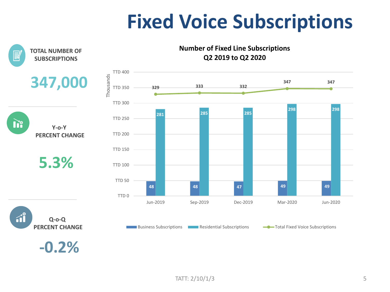## **Fixed Voice Subscriptions**

**Number of Fixed Line Subscriptions Q2 2019 to Q2 2020**



ne<br>Ine

 $\hat{\mathbf{u}}^{\mathsf{e}}$ 

**SUBSCRIPTIONS**



**Y-o-Y PERCENT CHANGE**

**5.3%**



**-0.2%**

**Q-o-Q PERCENT CHANGE**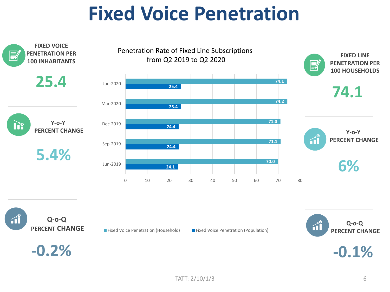#### **Fixed Voice Penetration**





**-0.2%**

■ Fixed Voice Penetration (Household) ■ Fixed Voice Penetration (Population)

 $\hat{\mathbf{d}}$ **Q-o-Q PERCENT CHANGE**

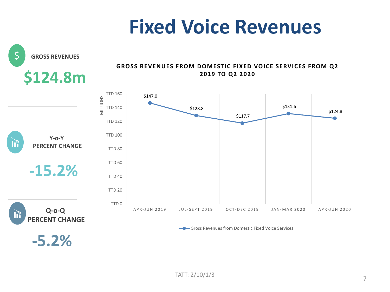### **Fixed Voice Revenues**

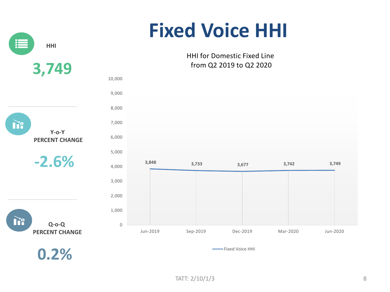## **Fixed Voice HHI**

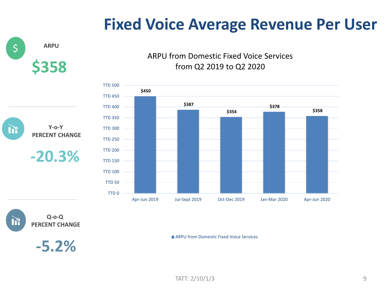#### **Fixed Voice Average Revenue Per User**

**ARPU \$358**  $\varsigma$ 

#### ARPU from Domestic Fixed Voice Services from Q2 2019 to Q2 2020



**-20.3% PERCENT CHANGE**

**Y-o-Y**



**-5.2%**

**ARPU from Domestic Fixed Voice Services**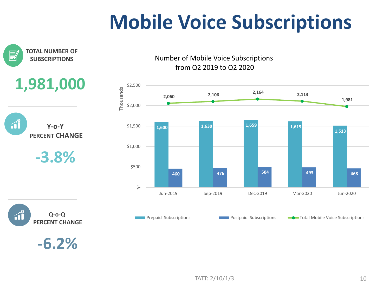## **Mobile Voice Subscriptions**

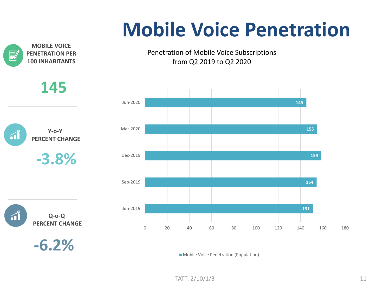#### **Mobile Voice Penetration**



Penetration of Mobile Voice Subscriptions from Q2 2019 to Q2 2020



**Mobile Voice Penetration (Population)**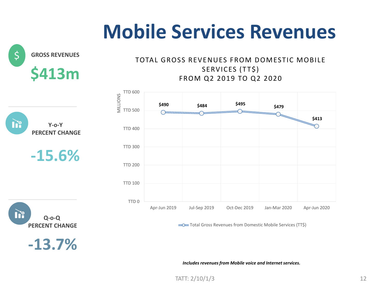#### **Mobile Services Revenues**



**Q-o-Q PERCENT CHANGE**

Tř.

**-13.7%**

**-15.6%**

**Y-o-Y PERCENT CHANGE**

#### TOTAL GROSS REVENUES FROM DOMESTIC MOBILE SERVICES (TT\$) F ROM Q2 2019 TO Q2 2020



 $\equiv 0$  Total Gross Revenues from Domestic Mobile Services (TT\$)

*Includes revenues from Mobile voice and Internet services.*

TATT: 2/10/1/3 12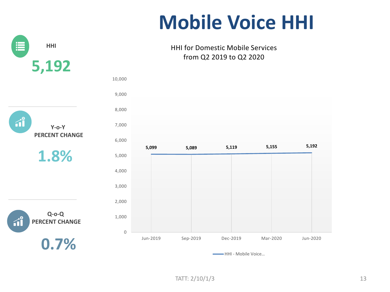## **Mobile Voice HHI**

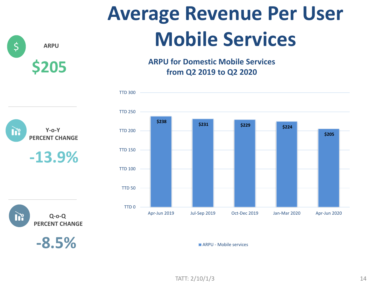#### **Average Revenue Per User** ARPU **Mobile Services \$205 Q-o-Q PERCENT CHANGE -13.9% Y-o-Y PERCENT CHANGE**  $\mathsf S$ **\$238** \$231 \$229 \$224 **\$205**  TTD 0 TTD 50 TTD 100 TTD 150 TTD 200 TTD 250 TTD 300 Apr-Jun 2019 Jul-Sep 2019 Oct-Dec 2019 Jan-Mar 2020 Apr-Jun 2020 **ARPU for Domestic Mobile Services from Q2 2019 to Q2 2020**

**-8.5%**

ARPU - Mobile services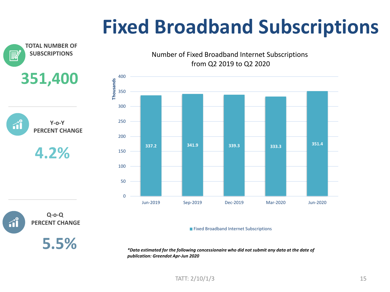## **Fixed Broadband Subscriptions**



*\*Data estimated for the following concessionaire who did not submit any data at the date of publication: Greendot Apr-Jun 2020*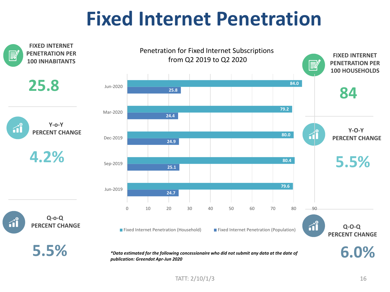#### **Fixed Internet Penetration**

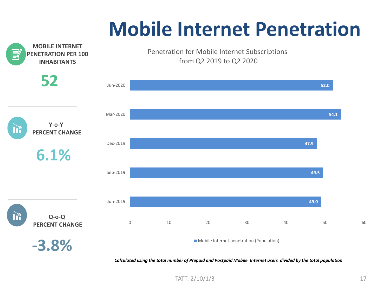#### **Mobile Internet Penetration**



*Calculated using the total number of Prepaid and Postpaid Mobile Internet users divided by the total population*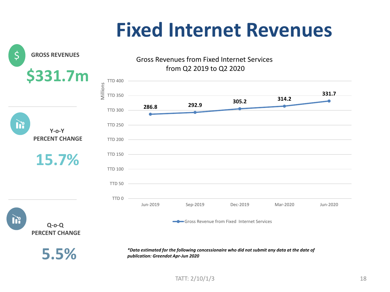#### **Fixed Internet Revenues**

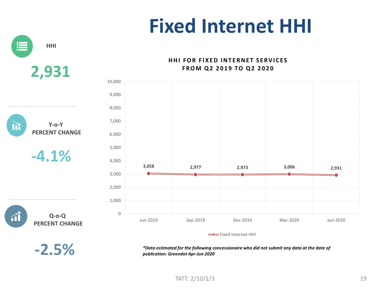## **Fixed Internet HHI**



*\*Data estimated for the following concessionaire who did not submit any data at the date of publication: Greendot Apr-Jun 2020*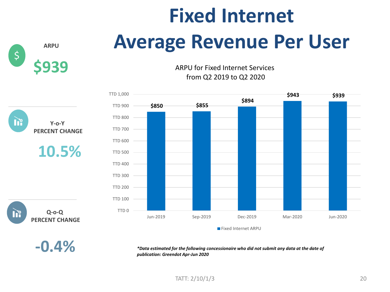# **Fixed Internet**  Average Revenue Per User

ARPU for Fixed Internet Services from Q2 2019 to Q2 2020



**-0.4%**

**Q-o-Q PERCENT CHANGE**

**10.5%**

**Y-o-Y PERCENT CHANGE**

**\$939**

 $\varsigma$ 

*\*Data estimated for the following concessionaire who did not submit any data at the date of publication: Greendot Apr-Jun 2020*

TATT: 2/10/1/3 20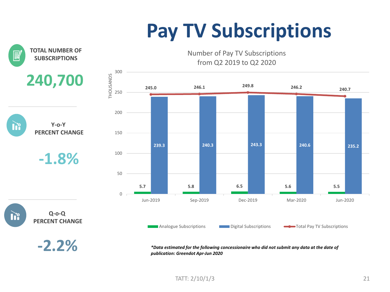## **Pay TV Subscriptions**

Number of Pay TV Subscriptions from Q2 2019 to Q2 2020



**TOTAL NUMBER OF SUBSCRIPTIONS**





**-1.8%**

**Q-o-Q PERCENT CHANGE**

 $\mathsf{H}^\mathsf{s}$ 

**-2.2%**



*\*Data estimated for the following concessionaire who did not submit any data at the date of publication: Greendot Apr-Jun 2020*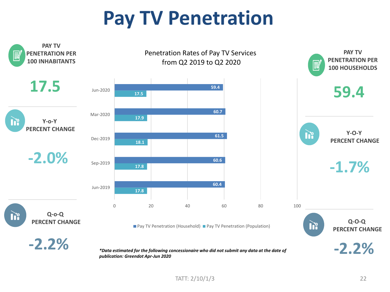### **Pay TV Penetration**

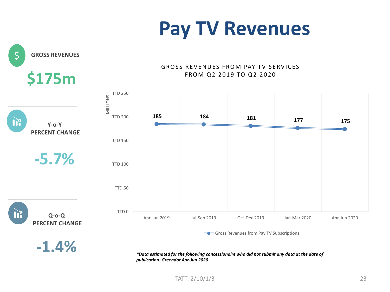#### **Pay TV Revenues**

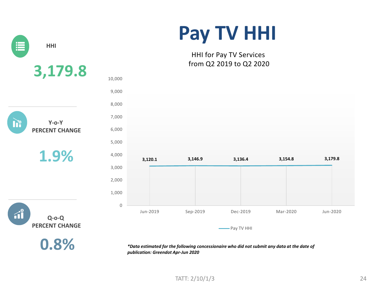| E<br>HHI                                                               |                |
|------------------------------------------------------------------------|----------------|
| 3,179.8<br>10,000                                                      |                |
|                                                                        | 9,000          |
|                                                                        | 8,000          |
| $Y$ -o-Y                                                               | 7,000          |
| <b>iii</b><br><b>PERCENT CHANGE</b>                                    | 6,000          |
|                                                                        | 5,000          |
| 1.9%                                                                   | 4,000<br>3     |
|                                                                        | 3,000          |
|                                                                        | 2,000          |
|                                                                        | 1,000          |
|                                                                        | $\overline{0}$ |
| $\widehat{\mathbf{d}}^\bullet$<br>$Q$ -o- $Q$<br><b>PERCENT CHANGE</b> | Ju             |

**0.8%**

#### **Pay TV HHI**

HHI for Pay TV Services from Q2 2019 to Q2 2020



*\*Data estimated for the following concessionaire who did not submit any data at the date of publication: Greendot Apr-Jun 2020*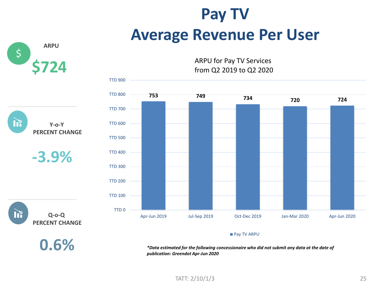#### **Pay TV Average Revenue Per User**

**ARPU**

**\$724**

 $\varsigma$ 

**Q-o-Q PERCENT CHANGE**

**0.6%**

**-3.9%**

**Y-o-Y PERCENT CHANGE**



#### Pay TV ARPU

*\*Data estimated for the following concessionaire who did not submit any data at the date of publication: Greendot Apr-Jun 2020*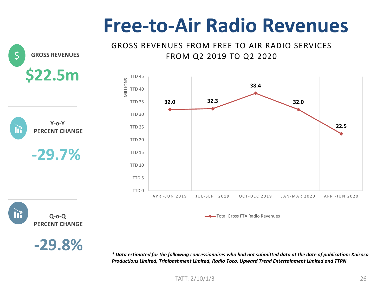#### **Free-to-Air Radio Revenues**

GROSS REVENUES FROM FREE TO AIR RADIO SERVICES

**GROSS REVENUES \$22.5m**  $\mathsf{S}$ **Q-o-Q -29.7% Y-o-Y PERCENT CHANGE 32.0 32.3 38.4 32.0 22.5** TTD 0 TTD 5 TTD 10 TTD 15 TTD 20 TTD 25 TTD 30 TTD 35 TTD 40 S<br>MO<br>O<br>II<br>IND 40<br>MIL<br>NO A PR -JUN 2019 JUL-SEPT 2019 OCT-DEC 2019 JAN-MAR 2020 APR -JUN 2020 FROM Q2 2019 TO Q2 2020 Total Gross FTA Radio Revenues

**-29.8%**

**PERCENT CHANGE**

*\* Data estimated for the following concessionaires who had not submitted data at the date of publication: Kaisoca Productions Limited, Trinibashment Limited, Radio Toco, Upward Trend Entertainment Limited and TTRN*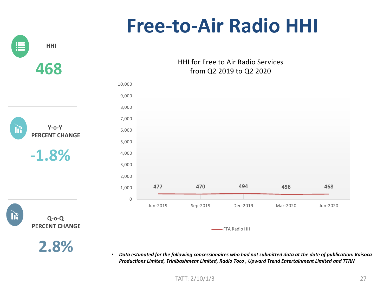### **Free-to-Air Radio HHI**



**2.8%**

• *Data estimated for the following concessionaires who had not submitted data at the date of publication: Kaisoca Productions Limited, Trinibashment Limited, Radio Toco , Upward Trend Entertainment Limited and TTRN*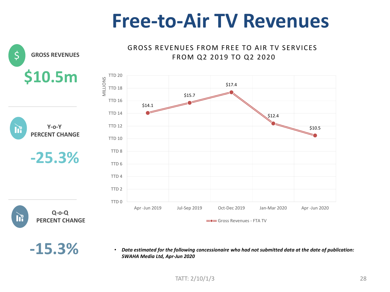#### **Free-to-Air TV Revenues**



**-15.3%**

• *Data estimated for the following concessionaire who had not submitted data at the date of publication: SWAHA Media Ltd, Apr-Jun 2020*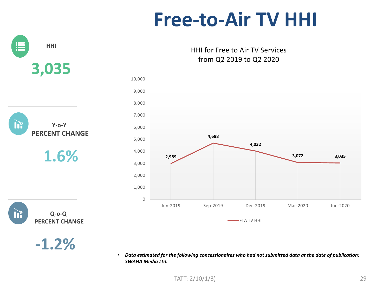#### **Free-to-Air TV HHI**



• *Data estimated for the following concessionaires who had not submitted data at the date of publication: SWAHA Media Ltd.*